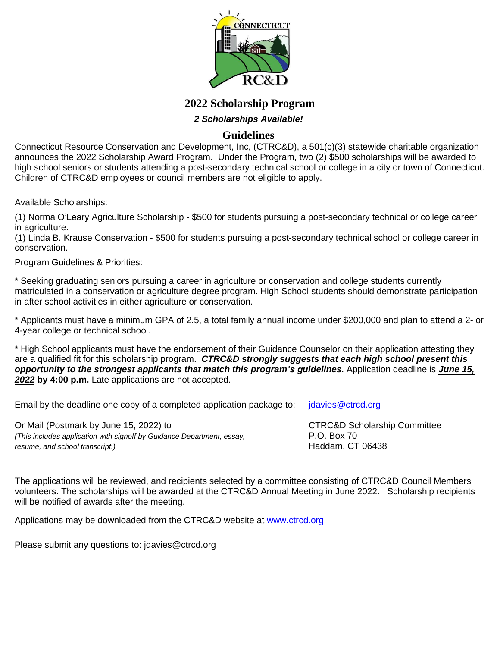

# **2022 Scholarship Program**

## *2 Scholarships Available!*

# **Guidelines**

Connecticut Resource Conservation and Development, Inc, (CTRC&D), a 501(c)(3) statewide charitable organization announces the 2022 Scholarship Award Program.Under the Program, two (2) \$500 scholarships will be awarded to high school seniors or students attending a post-secondary technical school or college in a city or town of Connecticut. Children of CTRC&D employees or council members are not eligible to apply.

#### Available Scholarships:

(1) Norma O'Leary Agriculture Scholarship - \$500 for students pursuing a post-secondary technical or college career in agriculture.

(1) Linda B. Krause Conservation - \$500 for students pursuing a post-secondary technical school or college career in conservation.

#### Program Guidelines & Priorities:

\* Seeking graduating seniors pursuing a career in agriculture or conservation and college students currently matriculated in a conservation or agriculture degree program. High School students should demonstrate participation in after school activities in either agriculture or conservation.

\* Applicants must have a minimum GPA of 2.5, a total family annual income under \$200,000 and plan to attend a 2- or 4-year college or technical school.

\* High School applicants must have the endorsement of their Guidance Counselor on their application attesting they are a qualified fit for this scholarship program. *CTRC&D strongly suggests that each high school present this opportunity to the strongest applicants that match this program's guidelines.* Application deadline is *June 15, 2022* **by 4:00 p.m.** Late applications are not accepted.

Email by the deadline one copy of a completed application package to:  $\int$  jdavies @ctrcd.org

Or Mail (Postmark by June 15, 2022) to CTRC&D Scholarship Committee *(This includes application with signoff by Guidance Department, essay,* P.O. Box 70 *resume, and school transcript.*) and *it is a set of the set of the set of the set of the set of the set of the set of the set of the set of the set of the set of the set of the set of the set of the set of the set of the* 

The applications will be reviewed, and recipients selected by a committee consisting of CTRC&D Council Members volunteers. The scholarships will be awarded at the CTRC&D Annual Meeting in June 2022. Scholarship recipients will be notified of awards after the meeting.

Applications may be downloaded from the CTRC&D website at [www.ctrcd.org](http://www.ctrcd.org/)

Please submit any questions to: jdavies@ctrcd.org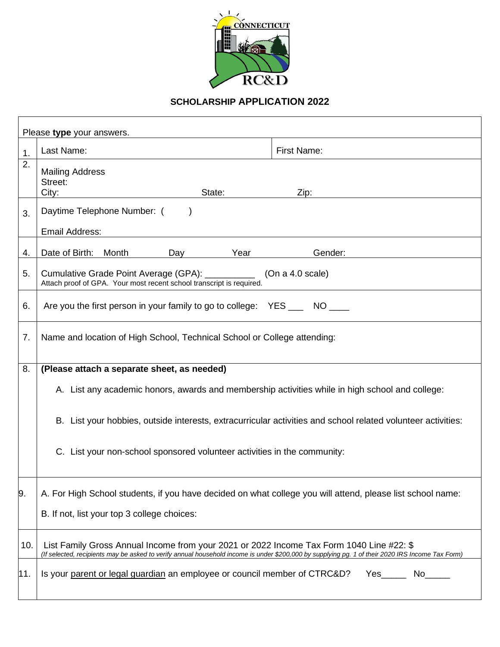

# **SCHOLARSHIP APPLICATION 2022**

| Please type your answers. |                                                                                                                                                                                                                                            |  |  |  |  |
|---------------------------|--------------------------------------------------------------------------------------------------------------------------------------------------------------------------------------------------------------------------------------------|--|--|--|--|
| 1.                        | Last Name:<br><b>First Name:</b>                                                                                                                                                                                                           |  |  |  |  |
| 2.                        | <b>Mailing Address</b><br>Street:<br>City:<br>State:<br>Zip:                                                                                                                                                                               |  |  |  |  |
| 3.                        | Daytime Telephone Number: (<br>Email Address:                                                                                                                                                                                              |  |  |  |  |
| 4.                        | Date of Birth:<br>Year<br>Gender:<br>Month<br>Day                                                                                                                                                                                          |  |  |  |  |
| 5.                        | Cumulative Grade Point Average (GPA): __________<br>(On a 4.0 scale)<br>Attach proof of GPA. Your most recent school transcript is required.                                                                                               |  |  |  |  |
| 6.                        | Are you the first person in your family to go to college: YES ____ NO ____                                                                                                                                                                 |  |  |  |  |
| 7.                        | Name and location of High School, Technical School or College attending:                                                                                                                                                                   |  |  |  |  |
| 8.                        | (Please attach a separate sheet, as needed)                                                                                                                                                                                                |  |  |  |  |
|                           | A. List any academic honors, awards and membership activities while in high school and college:                                                                                                                                            |  |  |  |  |
|                           | B. List your hobbies, outside interests, extracurricular activities and school related volunteer activities:                                                                                                                               |  |  |  |  |
|                           | C. List your non-school sponsored volunteer activities in the community:                                                                                                                                                                   |  |  |  |  |
| 9.                        | A. For High School students, if you have decided on what college you will attend, please list school name:<br>B. If not, list your top 3 college choices:                                                                                  |  |  |  |  |
| 10.                       | List Family Gross Annual Income from your 2021 or 2022 Income Tax Form 1040 Line #22: \$                                                                                                                                                   |  |  |  |  |
| 11.                       | (If selected, recipients may be asked to verify annual household income is under \$200,000 by supplying pg. 1 of their 2020 IRS Income Tax Form)<br>Is your parent or legal guardian an employee or council member of CTRC&D?<br>Yes<br>No |  |  |  |  |
|                           |                                                                                                                                                                                                                                            |  |  |  |  |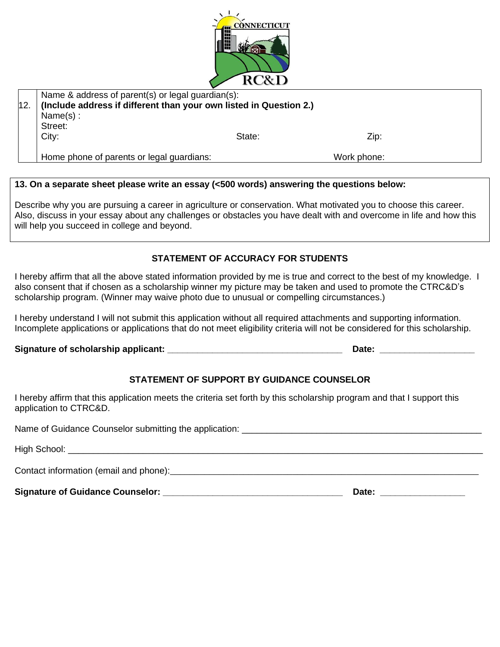

|     | Name & address of parent(s) or legal guardian(s):                  |        |             |  |
|-----|--------------------------------------------------------------------|--------|-------------|--|
| 12. | (Include address if different than your own listed in Question 2.) |        |             |  |
|     | Name $(s)$ :                                                       |        |             |  |
|     | Street:                                                            |        |             |  |
|     | City:                                                              | State: | Zip:        |  |
|     |                                                                    |        |             |  |
|     | Home phone of parents or legal guardians:                          |        | Work phone: |  |

#### **13. On a separate sheet please write an essay (<500 words) answering the questions below:**

Describe why you are pursuing a career in agriculture or conservation. What motivated you to choose this career. Also, discuss in your essay about any challenges or obstacles you have dealt with and overcome in life and how this will help you succeed in college and beyond.

### **STATEMENT OF ACCURACY FOR STUDENTS**

I hereby affirm that all the above stated information provided by me is true and correct to the best of my knowledge. I also consent that if chosen as a scholarship winner my picture may be taken and used to promote the CTRC&D's scholarship program. (Winner may waive photo due to unusual or compelling circumstances.)

I hereby understand I will not submit this application without all required attachments and supporting information. Incomplete applications or applications that do not meet eligibility criteria will not be considered for this scholarship.

**Signature of scholarship applicant: \_\_\_\_\_\_\_\_\_\_\_\_\_\_\_\_\_\_\_\_\_\_\_\_\_\_\_\_\_\_\_\_\_\_\_ Date: \_\_\_\_\_\_\_\_\_\_\_\_\_\_\_\_\_\_\_**

## **STATEMENT OF SUPPORT BY GUIDANCE COUNSELOR**

I hereby affirm that this application meets the criteria set forth by this scholarship program and that I support this application to CTRC&D.

Name of Guidance Counselor submitting the application: \_\_\_\_\_\_\_\_\_\_\_\_\_\_\_\_\_\_\_\_\_\_\_\_\_\_

High School: **with the summer of the set of the set of the set of the set of the set of the set of the set of the set of the set of the set of the set of the set of the set of the set of the set of the set of the set of th** 

Contact information (email and phone): example and  $\frac{1}{2}$  and  $\frac{1}{2}$  and  $\frac{1}{2}$  and  $\frac{1}{2}$  and  $\frac{1}{2}$  and  $\frac{1}{2}$  and  $\frac{1}{2}$  and  $\frac{1}{2}$  and  $\frac{1}{2}$  and  $\frac{1}{2}$  and  $\frac{1}{2}$  and  $\frac{1}{2}$  and  $\frac$ 

**Signature of Guidance Counselor: \_\_\_\_\_\_\_\_\_\_\_\_\_\_\_\_\_\_\_\_\_\_\_\_\_\_\_\_\_\_\_\_\_\_\_\_ Date: \_\_\_\_\_\_\_\_\_\_\_\_\_\_\_\_\_**